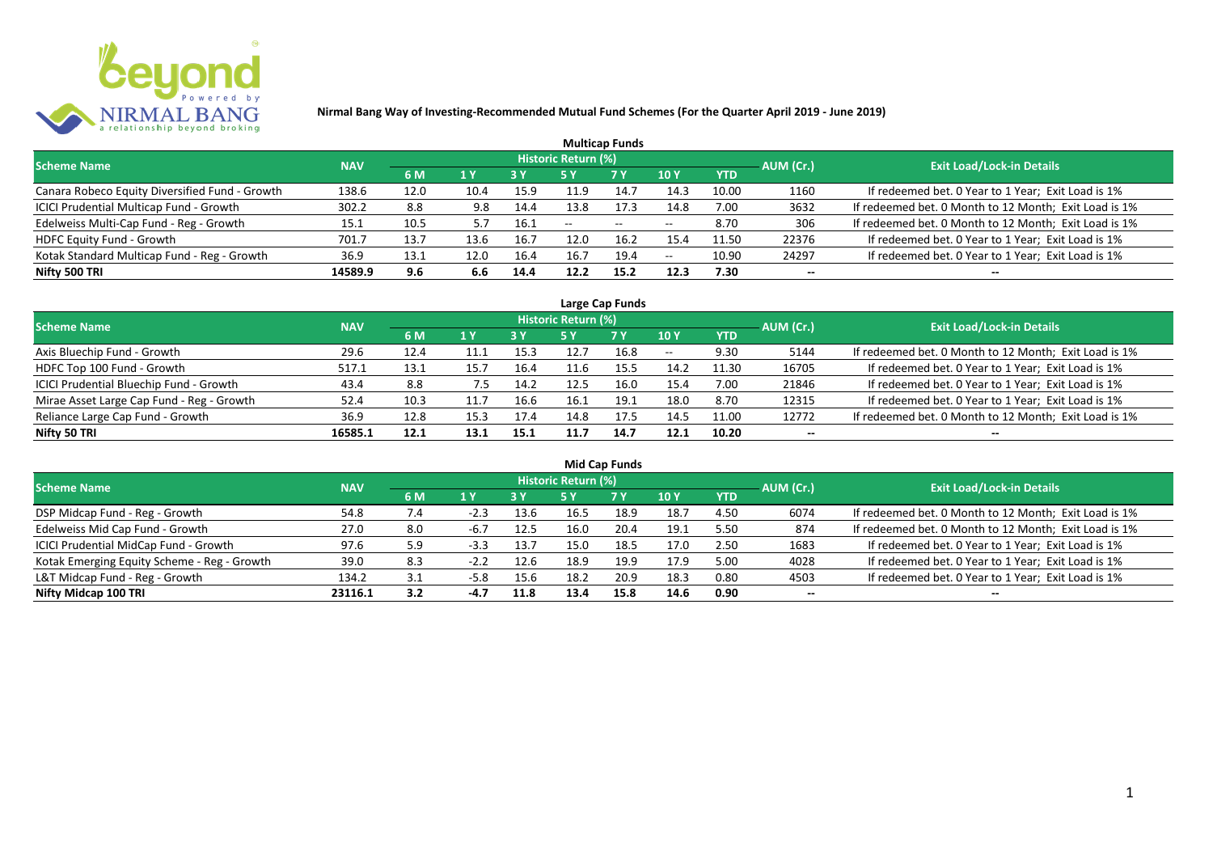

|                                                |            |      |      |            |                     | <b>Multicap Funds</b>    |                          |            |           |                                                       |
|------------------------------------------------|------------|------|------|------------|---------------------|--------------------------|--------------------------|------------|-----------|-------------------------------------------------------|
| <b>Scheme Name</b>                             | <b>NAV</b> |      |      |            | Historic Return (%) |                          |                          |            | AUM (Cr.) | <b>Exit Load/Lock-in Details</b>                      |
|                                                |            | 6 M  | 1 Y  | <b>3 Y</b> |                     | <b>7Y</b>                | <b>10Y</b>               | <b>YTD</b> |           |                                                       |
| Canara Robeco Equity Diversified Fund - Growth | 138.6      | 12.0 | 10.4 | 15.9       | 11.9                | 14.7                     | 14.3                     | 10.00      | 1160      | If redeemed bet. 0 Year to 1 Year; Exit Load is 1%    |
| ICICI Prudential Multicap Fund - Growth        | 302.2      | 8.8  | 9.8  | 14.4       | 13.8                | 17.3                     | 14.8                     | 7.00       | 3632      | If redeemed bet. 0 Month to 12 Month; Exit Load is 1% |
| Edelweiss Multi-Cap Fund - Reg - Growth        | 15.1       | 10.5 |      | 16.1       | $- -$               | $\overline{\phantom{a}}$ | $\overline{\phantom{m}}$ | 8.70       | 306       | If redeemed bet. 0 Month to 12 Month; Exit Load is 1% |
| HDFC Equity Fund - Growth                      | 701.7      | 13.7 | 13.6 | 16.7       | 12.0                | 16.2                     | 15.4                     | 11.50      | 22376     | If redeemed bet. 0 Year to 1 Year; Exit Load is 1%    |
| Kotak Standard Multicap Fund - Reg - Growth    | 36.9       | 13.1 | 12.0 | 16.4       | 16.7                | 19.4                     | $\overline{\phantom{a}}$ | 10.90      | 24297     | If redeemed bet. 0 Year to 1 Year; Exit Load is 1%    |
| Nifty 500 TRI                                  | 14589.9    | 9.6  | 6.6  | 14.4       | 12.2                | 15.2                     | 12.3                     | 7.30       | $- -$     | --                                                    |

| Large Cap Funds                           |            |      |                  |      |                     |           |            |            |           |                                                       |  |  |  |
|-------------------------------------------|------------|------|------------------|------|---------------------|-----------|------------|------------|-----------|-------------------------------------------------------|--|--|--|
| Scheme Name                               | <b>NAV</b> |      |                  |      | Historic Return (%) |           |            |            | AUM (Cr.) | <b>Exit Load/Lock-in Details</b>                      |  |  |  |
|                                           |            | 6 M  | $\overline{1}$ Y |      | 5 Y                 | <b>7Y</b> | <b>10Y</b> | <b>YTD</b> |           |                                                       |  |  |  |
| Axis Bluechip Fund - Growth               | 29.6       | 12.4 |                  | 15.3 |                     | 16.8      | $- -$      | 9.30       | 5144      | If redeemed bet. 0 Month to 12 Month; Exit Load is 1% |  |  |  |
| HDFC Top 100 Fund - Growth                | 517.1      | 13.1 | 15.7             | 16.4 |                     | 15.5      | 14.2       | 11.30      | 16705     | If redeemed bet. 0 Year to 1 Year; Exit Load is 1%    |  |  |  |
| ICICI Prudential Bluechip Fund - Growth   | 43.4       | 8.8  | 7.5              | 14.2 | 12.5                | 16.0      | 15.4       | 7.00       | 21846     | If redeemed bet. 0 Year to 1 Year; Exit Load is 1%    |  |  |  |
| Mirae Asset Large Cap Fund - Reg - Growth | 52.4       | 10.3 | 11.7             | 16.6 | 16.1                | 19.1      | 18.0       | 8.70       | 12315     | If redeemed bet. 0 Year to 1 Year; Exit Load is 1%    |  |  |  |
| Reliance Large Cap Fund - Growth          | 36.9       | 12.8 | 15.3             | 17.4 | 14.8                | 17.5      | 14.5       | 11.00      | 12772     | If redeemed bet. 0 Month to 12 Month; Exit Load is 1% |  |  |  |
| Nifty 50 TRI                              | 16585.1    | 12.1 | 13.1             | 15.1 |                     | 14.7      | 12.1       | 10.20      |           |                                                       |  |  |  |

| <b>Mid Cap Funds</b>                        |            |     |        |      |                            |      |      |            |                          |                                                       |  |  |  |
|---------------------------------------------|------------|-----|--------|------|----------------------------|------|------|------------|--------------------------|-------------------------------------------------------|--|--|--|
| <b>Scheme Name</b>                          | <b>NAV</b> |     |        |      | <b>Historic Return (%)</b> |      |      |            | AUM (Cr.)                | <b>Exit Load/Lock-in Details</b>                      |  |  |  |
|                                             |            | 6 M | 1 Y    | 3 Y  | 5 Y                        | 7 Y  | 10 Y | <b>YTD</b> |                          |                                                       |  |  |  |
| DSP Midcap Fund - Reg - Growth              | 54.8       | 7.4 | -4.3   | 13.6 | 16.5                       | 18.9 | 18.7 | 4.50       | 6074                     | If redeemed bet. 0 Month to 12 Month; Exit Load is 1% |  |  |  |
| Edelweiss Mid Cap Fund - Growth             | 27.0       | 8.0 | -6.,   | 12.5 | 16.0                       | 20.4 | 19.1 | 5.50       | 874                      | If redeemed bet. 0 Month to 12 Month; Exit Load is 1% |  |  |  |
| ICICI Prudential MidCap Fund - Growth       | 97.6       | 5.9 |        | 13.7 | 15.0                       | 18.5 | 17.0 | 2.50       | 1683                     | If redeemed bet. 0 Year to 1 Year; Exit Load is 1%    |  |  |  |
| Kotak Emerging Equity Scheme - Reg - Growth | 39.0       | 8.3 |        | 12.6 | 18.9                       | 19.9 | 17.9 | 5.00       | 4028                     | If redeemed bet. 0 Year to 1 Year; Exit Load is 1%    |  |  |  |
| L&T Midcap Fund - Reg - Growth              | 134.2      | 3.1 | $-5.8$ | 15.6 | 18.2                       | 20.9 | 18.3 | 0.80       | 4503                     | If redeemed bet. 0 Year to 1 Year; Exit Load is 1%    |  |  |  |
| Nifty Midcap 100 TRI                        | 23116.1    | 3.2 | $-4.7$ | 11.8 | 13.4                       | 15.8 | 14.6 | 0.90       | $\overline{\phantom{a}}$ | --                                                    |  |  |  |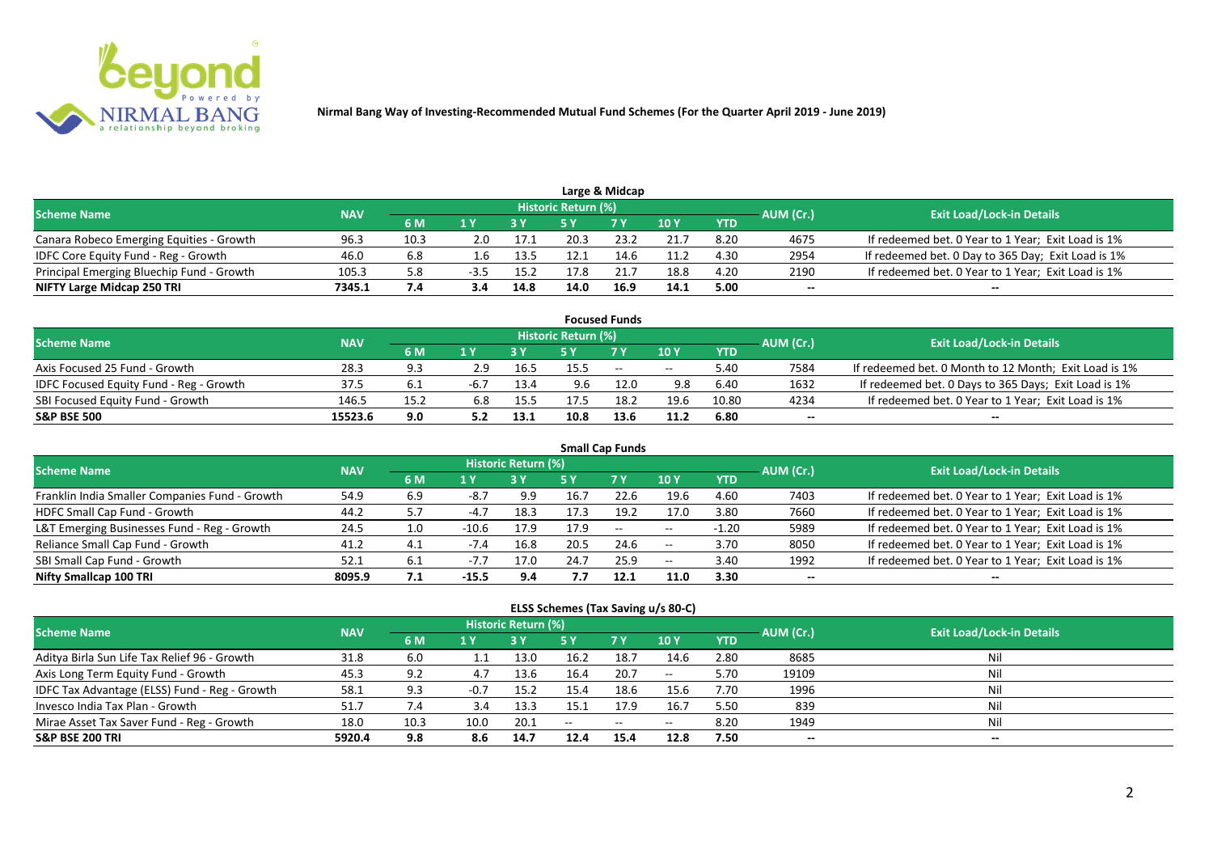

|                                           |            |      |        |      |                     | Large & Midcap |      |            |           |                                                    |
|-------------------------------------------|------------|------|--------|------|---------------------|----------------|------|------------|-----------|----------------------------------------------------|
| <b>Scheme Name</b>                        | <b>NAV</b> |      |        |      | Historic Return (%) |                |      |            | AUM (Cr.) | <b>Exit Load/Lock-in Details</b>                   |
|                                           |            | 6 M  |        |      |                     | 7 V            | 10Y  | <b>YTD</b> |           |                                                    |
| Canara Robeco Emerging Equities - Growth  | 96.3       | 10.3 | 2.0    | 17.1 | 20.3                | 23.2           | 21.7 | 8.20       | 4675      | If redeemed bet. 0 Year to 1 Year; Exit Load is 1% |
| IDFC Core Equity Fund - Reg - Growth      | 46.0       | 6.8  | ⊥.b    | 13.5 | 12.1                | 14.6           | 11.2 | 4.30       | 2954      | If redeemed bet. 0 Day to 365 Day; Exit Load is 1% |
| Principal Emerging Bluechip Fund - Growth | 105.3      | 5.8  | $-3.5$ | 15.2 |                     |                | 18.8 | 4.20       | 2190      | If redeemed bet. 0 Year to 1 Year; Exit Load is 1% |
| NIFTY Large Midcap 250 TRI                | 7345.1     | 7.4  | 3.4    | 14.8 | 14.0                | 16.9           | 14.1 | 5.00       | --        | $- -$                                              |

|                                                |            |      |     |      |                     | <b>Focused Funds</b> |       |            |           |                                                       |
|------------------------------------------------|------------|------|-----|------|---------------------|----------------------|-------|------------|-----------|-------------------------------------------------------|
| <b>Scheme Name</b>                             | <b>NAV</b> |      |     |      | Historic Return (%) |                      |       |            | AUM (Cr.) | <b>Exit Load/Lock-in Details</b>                      |
|                                                |            | 6 M  | 1 V |      |                     | 7 Y                  | 10Y   | <b>YTD</b> |           |                                                       |
| Axis Focused 25 Fund - Growth                  | 28.3       | 9.3  | 2.9 | 16.5 | 15.5                | $\sim$               | $- -$ | 5.40       | 7584      | If redeemed bet. 0 Month to 12 Month; Exit Load is 1% |
| <b>IDFC Focused Equity Fund - Reg - Growth</b> | 37.5       | 6.1  |     | 13.4 | 9.6                 | 12.0                 | 9.8   | 6.40       | 1632      | If redeemed bet. 0 Days to 365 Days; Exit Load is 1%  |
| SBI Focused Equity Fund - Growth               | 146.5      | 15.2 | 6.8 | 15.5 |                     | 18.2                 | 19.6  | 10.80      | 4234      | If redeemed bet. 0 Year to 1 Year; Exit Load is 1%    |
| <b>S&amp;P BSE 500</b>                         | 15523.6    | 9.0  |     | 13.1 | 10.8                | 13.6                 | 11.2  | 6.80       | --        | --                                                    |

| <b>Small Cap Funds</b>                         |            |     |              |                     |      |           |                          |            |           |                                                    |  |  |  |
|------------------------------------------------|------------|-----|--------------|---------------------|------|-----------|--------------------------|------------|-----------|----------------------------------------------------|--|--|--|
| <b>Scheme Name</b>                             | <b>NAV</b> |     |              | Historic Return (%) |      |           |                          |            | AUM (Cr.) | <b>Exit Load/Lock-in Details</b>                   |  |  |  |
|                                                |            | 6 M | 1 Y          |                     | 5 Y  | <b>7Y</b> | 10Y                      | <b>YTD</b> |           |                                                    |  |  |  |
| Franklin India Smaller Companies Fund - Growth | 54.9       | 6.9 | -8.,         | 9.9                 | 16.7 | 22.6      | 19.6                     | 4.60       | 7403      | If redeemed bet. 0 Year to 1 Year; Exit Load is 1% |  |  |  |
| HDFC Small Cap Fund - Growth                   | 44.2       | 5.7 | $-4.7$       | 18.3                | 17.3 | 19.2      | 17.0                     | 3.80       | 7660      | If redeemed bet. 0 Year to 1 Year; Exit Load is 1% |  |  |  |
| L&T Emerging Businesses Fund - Reg - Growth    | 24.5       | 1.0 | $-10.6$      | 17.9                | 17.9 | $\sim$    | $\overline{\phantom{a}}$ | $-1.20$    | 5989      | If redeemed bet. 0 Year to 1 Year; Exit Load is 1% |  |  |  |
| Reliance Small Cap Fund - Growth               | 41.2       | 4.1 | $-7.4$       | 16.8                | 20.5 | 24.6      | $- -$                    | 3.70       | 8050      | If redeemed bet. 0 Year to 1 Year; Exit Load is 1% |  |  |  |
| SBI Small Cap Fund - Growth                    | 52.1       | 6.1 | $-I_{\odot}$ | 17.0                | 24.7 | 25.9      | $- -$                    | 3.40       | 1992      | If redeemed bet. 0 Year to 1 Year; Exit Load is 1% |  |  |  |
| Nifty Smallcap 100 TRI                         | 8095.9     | 7.1 | $-15.5$      | 9.4                 |      | 12.1      | 11.0                     | 3.30       | $- -$     | --                                                 |  |  |  |

#### **ELSS Schemes (Tax Saving u/s 80-C)**

| <b>Scheme Name</b>                            | <b>NAV</b> |      |        | <b>Historic Return (%)</b> |      |            |                 | AUM (Cr.)  | <b>Exit Load/Lock-in Details</b> |       |
|-----------------------------------------------|------------|------|--------|----------------------------|------|------------|-----------------|------------|----------------------------------|-------|
|                                               |            | 6 M  | 1 Y    |                            | 5 Y  | <b>7 Y</b> | 10 <sub>1</sub> | <b>YTD</b> |                                  |       |
| Aditya Birla Sun Life Tax Relief 96 - Growth  | 31.8       | 6.0  | 1.1    | 13.0                       | 16.2 | 18.7       | 14.6            | 2.80       | 8685                             |       |
| Axis Long Term Equity Fund - Growth           | 45.3       | 9.2  | 4.7    | 13.6                       | 16.4 | 20.7       | $- -$           | 5.70       | 19109                            | Nil   |
| IDFC Tax Advantage (ELSS) Fund - Reg - Growth | 58.1       | 9.3  | $-0.7$ | 15.2                       | 15.4 | 18.6       | 15.6            | 7.70       | 1996                             | Ni    |
| Invesco India Tax Plan - Growth               | 51.7       | 7.4  | 3.4    | 13.3                       | 15.1 | 17.9       | 16.             | 5.50       | 839                              | Ni    |
| Mirae Asset Tax Saver Fund - Reg - Growth     | 18.0       | 10.3 | 10.0   | 20.1                       | $-$  | $\sim$     | $- -$           | 8.20       | 1949                             | Nil   |
| <b>S&amp;P BSE 200 TRI</b>                    | 5920.4     | 9.8  | 8.6    | 14.7                       | 12.4 | 15.4       | 12.8            | 7.50       | --                               | $- -$ |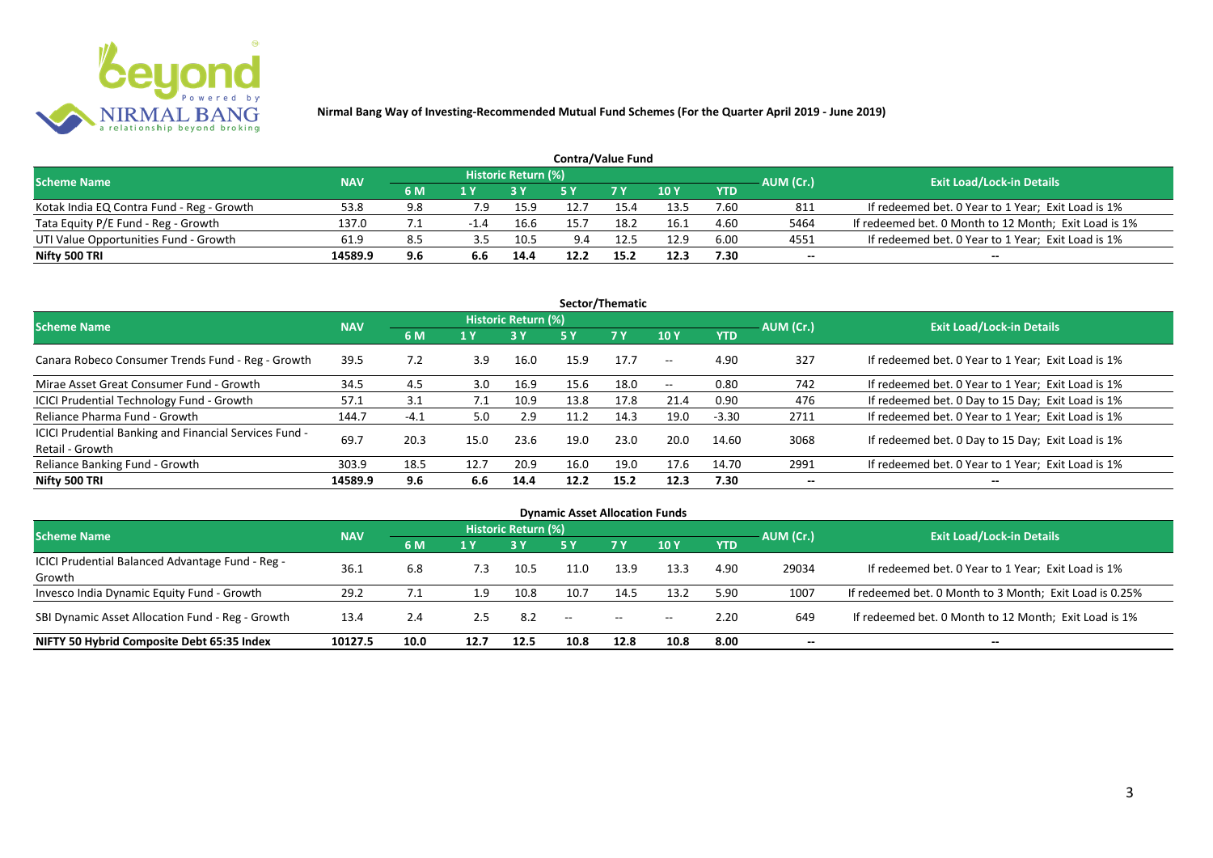

| <b>Contra/Value Fund</b>                  |            |     |     |                     |      |            |      |            |           |                                                       |  |  |  |
|-------------------------------------------|------------|-----|-----|---------------------|------|------------|------|------------|-----------|-------------------------------------------------------|--|--|--|
| <b>Scheme Name</b>                        | <b>NAV</b> |     |     | Historic Return (%) |      |            |      |            | AUM (Cr.) | <b>Exit Load/Lock-in Details</b>                      |  |  |  |
|                                           |            | 6 M | 1 Y |                     |      | <b>7 Y</b> | 10Y  | <b>YTD</b> |           |                                                       |  |  |  |
| Kotak India EQ Contra Fund - Reg - Growth | 53.8       | 9.8 | 7.9 | 15.9                | 12.  | 15.4       | 13.5 | 7.60       | 811       | If redeemed bet. 0 Year to 1 Year; Exit Load is 1%    |  |  |  |
| Tata Equity P/E Fund - Reg - Growth       | 137.0      |     |     | 16.6                | 15.7 | 18.2       | 16.1 | 4.60       | 5464      | If redeemed bet. 0 Month to 12 Month; Exit Load is 1% |  |  |  |
| UTI Value Opportunities Fund - Growth     | 61.9       | 8.5 | 3.5 | 10.5                | 9.4  | 12.5       | 12.9 | 6.00       | 4551      | If redeemed bet. 0 Year to 1 Year; Exit Load is 1%    |  |  |  |
| Nifty 500 TRI                             | 14589.9    | 9.6 |     | 14.4                | 12.2 | 15.2       | 12.3 | 7.30       | --        | $- -$                                                 |  |  |  |

| Sector/Thematic                                                           |            |        |               |                            |      |           |                          |            |           |                                                    |  |  |  |
|---------------------------------------------------------------------------|------------|--------|---------------|----------------------------|------|-----------|--------------------------|------------|-----------|----------------------------------------------------|--|--|--|
| <b>Scheme Name</b>                                                        | <b>NAV</b> |        |               | <b>Historic Return (%)</b> |      |           |                          |            | AUM (Cr.) | <b>Exit Load/Lock-in Details</b>                   |  |  |  |
|                                                                           |            | 6 M    | 1 Y           | <b>3 Y</b>                 | 5 Y  | <b>7Y</b> | <b>10Y</b>               | <b>YTD</b> |           |                                                    |  |  |  |
| Canara Robeco Consumer Trends Fund - Reg - Growth                         | 39.5       | 7.2    | 3.9           | 16.0                       | 15.9 | 17.7      | $\sim$ $-$               | 4.90       | 327       | If redeemed bet. 0 Year to 1 Year; Exit Load is 1% |  |  |  |
| Mirae Asset Great Consumer Fund - Growth                                  | 34.5       | 4.5    | $3.0^{\circ}$ | 16.9                       | 15.6 | 18.0      | $\overline{\phantom{a}}$ | 0.80       | 742       | If redeemed bet. 0 Year to 1 Year; Exit Load is 1% |  |  |  |
| ICICI Prudential Technology Fund - Growth                                 | 57.1       | 3.1    | 7.1           | 10.9                       | 13.8 | 17.8      | 21.4                     | 0.90       | 476       | If redeemed bet. 0 Day to 15 Day; Exit Load is 1%  |  |  |  |
| Reliance Pharma Fund - Growth                                             | 144.7      | $-4.1$ | 5.0           | 2.9                        |      | 14.3      | 19.0                     | $-3.30$    | 2711      | If redeemed bet. 0 Year to 1 Year; Exit Load is 1% |  |  |  |
| ICICI Prudential Banking and Financial Services Fund -<br>Retail - Growth | 69.7       | 20.3   | 15.0          | 23.6                       | 19.0 | 23.0      | 20.0                     | 14.60      | 3068      | If redeemed bet. 0 Day to 15 Day; Exit Load is 1%  |  |  |  |
| Reliance Banking Fund - Growth                                            | 303.9      | 18.5   | 12.7          | 20.9                       | 16.0 | 19.0      | 17.6                     | 14.70      | 2991      | If redeemed bet. 0 Year to 1 Year; Exit Load is 1% |  |  |  |
| Nifty 500 TRI                                                             | 14589.9    | 9.6    | 6.6           | 14.4                       | 12.2 | 15.2      | 12.3                     | 7.30       | $- -$     | $\overline{\phantom{a}}$                           |  |  |  |

| <b>Dynamic Asset Allocation Funds</b>            |                   |      |      |                            |      |           |            |            |           |                                                         |  |  |  |
|--------------------------------------------------|-------------------|------|------|----------------------------|------|-----------|------------|------------|-----------|---------------------------------------------------------|--|--|--|
| <b>Scheme Name</b>                               |                   |      |      | <b>Historic Return (%)</b> |      |           |            |            |           | <b>Exit Load/Lock-in Details</b>                        |  |  |  |
|                                                  | <b>NAV</b><br>6 M |      | 1 Y  |                            | 5 Y  | <b>7Y</b> | <b>10Y</b> | <b>YTD</b> | AUM (Cr.) |                                                         |  |  |  |
| ICICI Prudential Balanced Advantage Fund - Reg - |                   |      |      |                            |      |           |            |            |           |                                                         |  |  |  |
| Growth                                           | 36.3              | 6.8  | 7.3  | 10.5                       | 11.0 | 13.9      | 13.3       | 4.90       | 29034     | If redeemed bet. 0 Year to 1 Year; Exit Load is 1%      |  |  |  |
| Invesco India Dynamic Equity Fund - Growth       | 29.2              |      | 1.9  | 10.8                       | 10.7 | 14.5      | 13.2       | 5.90       | 1007      | If redeemed bet. 0 Month to 3 Month; Exit Load is 0.25% |  |  |  |
| SBI Dynamic Asset Allocation Fund - Reg - Growth | 13.4              | 2.4  | 2.5  | 8.2                        | --   | $- -$     | $- -$      | 2.20       | 649       | If redeemed bet. 0 Month to 12 Month; Exit Load is 1%   |  |  |  |
| NIFTY 50 Hybrid Composite Debt 65:35 Index       | 10127.5           | 10.0 | 12.7 | 12.5                       | 10.8 | 12.8      | 10.8       | 8.00       | --        | $- -$                                                   |  |  |  |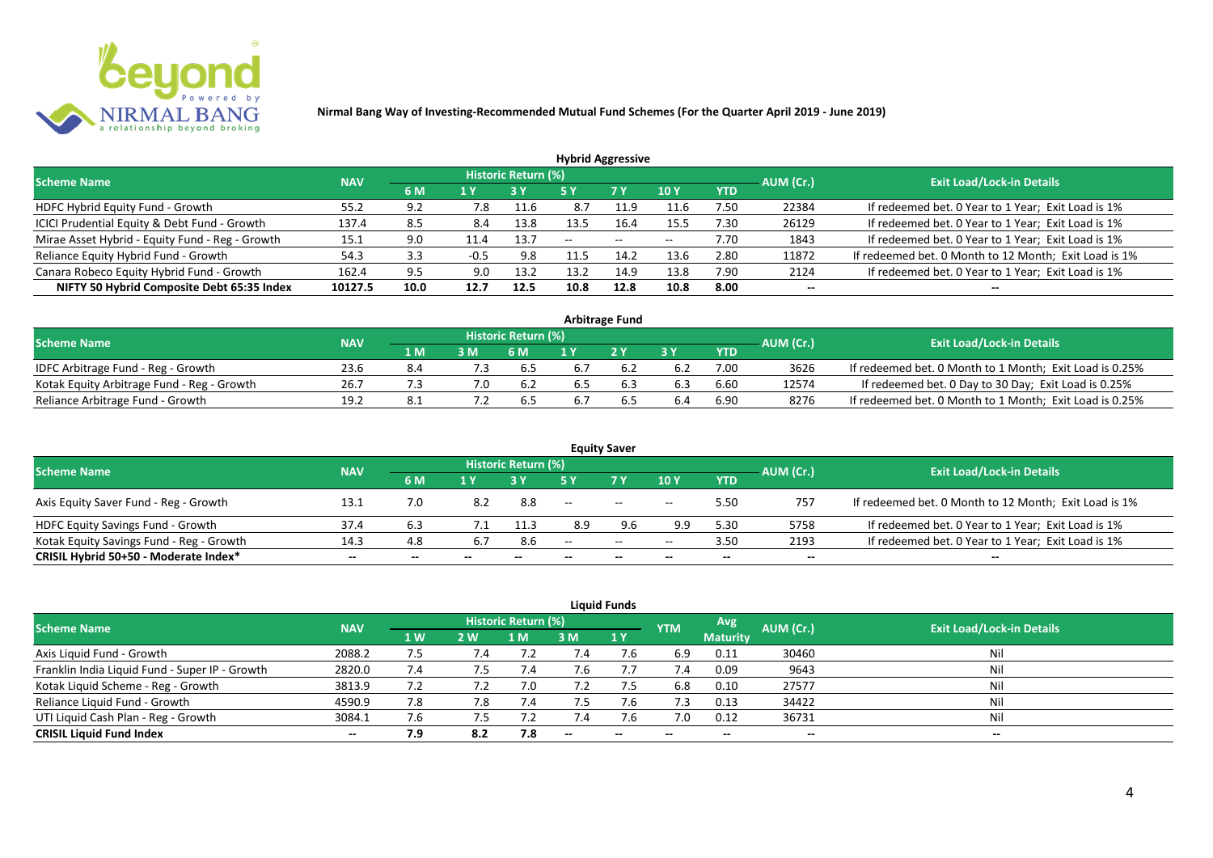

| <b>Hybrid Aggressive</b>                        |            |      |        |                     |       |               |            |            |           |                                                       |  |  |  |
|-------------------------------------------------|------------|------|--------|---------------------|-------|---------------|------------|------------|-----------|-------------------------------------------------------|--|--|--|
| <b>Scheme Name</b>                              | <b>NAV</b> |      |        | Historic Return (%) |       |               |            |            | AUM (Cr.) | <b>Exit Load/Lock-in Details</b>                      |  |  |  |
|                                                 |            | 6 M  | 1 Y    |                     | 5 Y   | 7 Y           | <b>10Y</b> | <b>YTD</b> |           |                                                       |  |  |  |
| HDFC Hybrid Equity Fund - Growth                | 55.2       | 9.2  | 7.8    | 11.6                | 8.7   | 11.9          | 11.6       | 7.50       | 22384     | If redeemed bet. 0 Year to 1 Year; Exit Load is 1%    |  |  |  |
| ICICI Prudential Equity & Debt Fund - Growth    | 137.4      | 8.5  | 8.4    | 13.8                | 13.5  | 16.4          | 15.5       | 7.30       | 26129     | If redeemed bet. 0 Year to 1 Year; Exit Load is 1%    |  |  |  |
| Mirae Asset Hybrid - Equity Fund - Reg - Growth | 15.1       | 9.0  | 11.4   | 13.7                | $- -$ | $\sim$ $\sim$ | $- -$      | 7.70       | 1843      | If redeemed bet. 0 Year to 1 Year; Exit Load is 1%    |  |  |  |
| Reliance Equity Hybrid Fund - Growth            | 54.3       | 3.3  | $-0.5$ | 9.8                 |       | 14.7          | 13.6       | 2.80       | 11872     | If redeemed bet. 0 Month to 12 Month; Exit Load is 1% |  |  |  |
| Canara Robeco Equity Hybrid Fund - Growth       | 162.4      | 9.5  | 9.0    | 13.2                | 13.2  | 14.9          | 13.8       | 7.90       | 2124      | If redeemed bet. 0 Year to 1 Year; Exit Load is 1%    |  |  |  |
| NIFTY 50 Hybrid Composite Debt 65:35 Index      | 10127.5    | 10.0 | 12.7   | 12.5                | 10.8  | 12.8          | 10.8       | 8.00       | $- -$     |                                                       |  |  |  |
|                                                 |            |      |        |                     |       |               |            |            |           |                                                       |  |  |  |

| <b>Arbitrage Fund</b>                      |            |       |     |                            |     |     |     |            |           |                                                         |  |  |  |
|--------------------------------------------|------------|-------|-----|----------------------------|-----|-----|-----|------------|-----------|---------------------------------------------------------|--|--|--|
| <b>Scheme Name</b>                         | <b>NAV</b> |       |     | <b>Historic Return (%)</b> |     |     |     |            | AUM (Cr.) | <b>Exit Load/Lock-in Details</b>                        |  |  |  |
|                                            |            | 1 M . |     | 6 M                        |     | 2V  |     | <b>YTD</b> |           |                                                         |  |  |  |
| IDFC Arbitrage Fund - Reg - Growth         | 23.6       | 8.4   | 7.3 | 6.5                        |     |     | 6.2 | 7.00       | 3626      | If redeemed bet. 0 Month to 1 Month; Exit Load is 0.25% |  |  |  |
| Kotak Equity Arbitrage Fund - Reg - Growth | 26.7       |       |     | 6.2                        | b.5 | 6.3 | 6.3 | 6.60       | 12574     | If redeemed bet. 0 Day to 30 Day; Exit Load is 0.25%    |  |  |  |
| Reliance Arbitrage Fund - Growth           | 19.2       | 8.1   |     | 6.5                        |     |     | 6.4 | 6.90       | 8276      | If redeemed bet. 0 Month to 1 Month; Exit Load is 0.25% |  |  |  |

|                                          |            |     |     |                     |       | <b>Equity Saver</b> |       |            |           |                                                       |
|------------------------------------------|------------|-----|-----|---------------------|-------|---------------------|-------|------------|-----------|-------------------------------------------------------|
| <b>Scheme Name</b>                       | <b>NAV</b> |     |     | Historic Return (%) |       |                     |       |            |           | <b>Exit Load/Lock-in Details</b>                      |
|                                          |            | 6 M | 1 V |                     |       | <b>7Y</b>           | 10Y   | <b>YTD</b> | AUM (Cr.) |                                                       |
| Axis Equity Saver Fund - Reg - Growth    | 13.1       | 7.0 |     | 8.8                 | $- -$ | $\hspace{0.05cm}$   | $- -$ | 5.50       | 757       | If redeemed bet. 0 Month to 12 Month; Exit Load is 1% |
| HDFC Equity Savings Fund - Growth        | 37.4       | 6.3 |     | 11.3                | 8.9   | 9.6                 | 9.9   | 5.30       | 5758      | If redeemed bet. 0 Year to 1 Year; Exit Load is 1%    |
| Kotak Equity Savings Fund - Reg - Growth | 14.3       | 4.8 |     | 8.6                 | $-$   | $\sim$              | $- -$ | 3.50       | 2193      | If redeemed bet. 0 Year to 1 Year; Exit Load is 1%    |
| CRISIL Hybrid 50+50 - Moderate Index*    | $- -$      | --  | $-$ | $- -$               | --    | $-$                 | $- -$ | $- -$      | $-$       | $- -$                                                 |

| <b>Liquid Funds</b>                            |            |                |     |                            |     |                          |                          |                          |                          |                                  |  |  |  |
|------------------------------------------------|------------|----------------|-----|----------------------------|-----|--------------------------|--------------------------|--------------------------|--------------------------|----------------------------------|--|--|--|
| <b>Scheme Name</b>                             | <b>NAV</b> |                |     | <b>Historic Return (%)</b> |     |                          | <b>YTM</b>               | Avg                      | AUM (Cr.)                | <b>Exit Load/Lock-in Details</b> |  |  |  |
|                                                |            | 1 <sub>W</sub> | 2W  | 1 M                        | 3 M | 1Y                       |                          | <b>Maturity</b>          |                          |                                  |  |  |  |
| Axis Liquid Fund - Growth                      | 2088.2     | 7.5            | 1.4 |                            | '.4 |                          | 6.9                      | 0.11                     | 30460                    | Nil                              |  |  |  |
| Franklin India Liquid Fund - Super IP - Growth | 2820.0     | 7.4            | כ.י | 7.4                        | 7.6 |                          | 7.4                      | 0.09                     | 9643                     | Nil                              |  |  |  |
| Kotak Liquid Scheme - Reg - Growth             | 3813.9     | 7.2            |     | 7.0                        | 7.2 |                          | 6.8                      | 0.10                     | 27577                    | Nil                              |  |  |  |
| Reliance Liquid Fund - Growth                  | 4590.9     | 7.8            | 7.8 | 7.4                        | 7.5 | 7.6                      | 7.3                      | 0.13                     | 34422                    | Nil                              |  |  |  |
| UTI Liquid Cash Plan - Reg - Growth            | 3084.1     | 7.6            | כ.  |                            | '.4 |                          | 7.0                      | 0.12                     | 36731                    | Nil                              |  |  |  |
| <b>CRISIL Liquid Fund Index</b>                | $- -$      | 7.9            | 8.2 | 7.8                        | $-$ | $\overline{\phantom{a}}$ | $\overline{\phantom{a}}$ | $\overline{\phantom{a}}$ | $\overline{\phantom{a}}$ | $\overline{\phantom{a}}$         |  |  |  |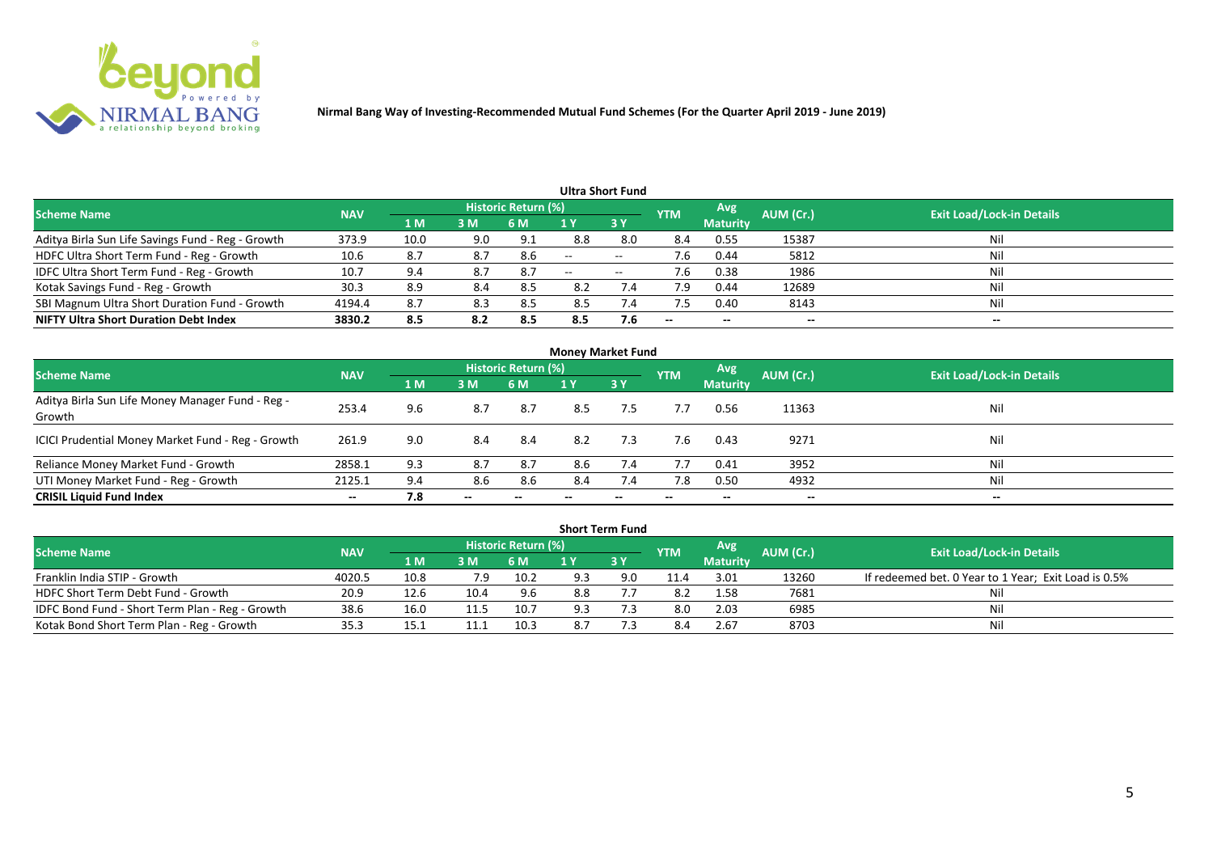

| Ultra Short Fund                                  |            |      |     |                            |       |                   |                          |                 |           |                                  |  |  |  |
|---------------------------------------------------|------------|------|-----|----------------------------|-------|-------------------|--------------------------|-----------------|-----------|----------------------------------|--|--|--|
| <b>Scheme Name</b>                                | <b>NAV</b> |      |     | <b>Historic Return (%)</b> |       |                   | <b>YTM</b>               | Avg             | AUM (Cr.) | <b>Exit Load/Lock-in Details</b> |  |  |  |
|                                                   |            | 1 M  | 3M  | 6 M                        |       | 3Y                |                          | <b>Maturity</b> |           |                                  |  |  |  |
| Aditya Birla Sun Life Savings Fund - Reg - Growth | 373.9      | 10.0 | 9.0 | 9.1                        | 8.8   | 8.0               | 8.4                      | 0.55            | 15387     | Nil                              |  |  |  |
| HDFC Ultra Short Term Fund - Reg - Growth         | 10.6       | 8.7  |     | 8.6                        | $-$   | $- -$             | 7.6                      | 0.44            | 5812      | Nil                              |  |  |  |
| IDFC Ultra Short Term Fund - Reg - Growth         | 10.7       | 9.4  | 8.7 | 8.7                        | $- -$ | $\hspace{0.05cm}$ | 7.6                      | 0.38            | 1986      | Nil                              |  |  |  |
| Kotak Savings Fund - Reg - Growth                 | 30.3       | 8.9  | 8.4 | 8.5                        | 8.2   | 7.4               | 7.9                      | 0.44            | 12689     | Nil                              |  |  |  |
| SBI Magnum Ultra Short Duration Fund - Growth     | 4194.4     | 8.7  | 8.3 | 8.5                        | 8.5   | 7.4               |                          | 0.40            | 8143      | Nil                              |  |  |  |
| <b>NIFTY Ultra Short Duration Debt Index</b>      | 3830.2     | 8.5  | 8.2 | 8.5                        | 8.5   | 7.6               | $\overline{\phantom{a}}$ | $- -$           | --        | $- -$                            |  |  |  |

| <b>Money Market Fund</b>                                   |            |                |       |                     |     |           |            |                 |           |                                  |  |  |  |
|------------------------------------------------------------|------------|----------------|-------|---------------------|-----|-----------|------------|-----------------|-----------|----------------------------------|--|--|--|
| <b>Scheme Name</b>                                         | <b>NAV</b> |                |       | Historic Return (%) |     |           | <b>YTM</b> | Avg             | AUM (Cr.) | <b>Exit Load/Lock-in Details</b> |  |  |  |
|                                                            |            | 1 <sub>M</sub> | 3 M   | 6 M                 | 1 Y | <b>3Y</b> |            | <b>Maturity</b> |           |                                  |  |  |  |
| Aditya Birla Sun Life Money Manager Fund - Reg -<br>Growth | 253.4      | 9.6            | 8.7   | 8.7                 | 8.5 | 7.5       | 7.7        | 0.56            | 11363     | Nil                              |  |  |  |
| ICICI Prudential Money Market Fund - Reg - Growth          | 261.9      | 9.0            | 8.4   | -8.4                | 8.2 | 7.3       | 7.6        | 0.43            | 9271      | Nil                              |  |  |  |
| Reliance Money Market Fund - Growth                        | 2858.1     | 9.3            | 8.7   | 8.7                 | 8.6 | 7.4       | 7.7        | 0.41            | 3952      | Nil                              |  |  |  |
| UTI Money Market Fund - Reg - Growth                       | 2125.1     | 9.4            | 8.6   | 8.6                 | 8.4 | 7.4       | 7.8        | 0.50            | 4932      | Nil                              |  |  |  |
| <b>CRISIL Liquid Fund Index</b>                            | $- -$      | 7.8            | $- -$ |                     |     |           | --         | $- -$           | $- -$     | $- -$                            |  |  |  |

| <b>Short Term Fund</b>                          |            |       |                                 |                            |                 |     |      |            |           |                                                      |  |  |  |
|-------------------------------------------------|------------|-------|---------------------------------|----------------------------|-----------------|-----|------|------------|-----------|------------------------------------------------------|--|--|--|
| <b>Scheme Name</b>                              | <b>NAV</b> |       |                                 | <b>Historic Return (%)</b> |                 |     |      | <b>Avg</b> | AUM (Cr.) | <b>Exit Load/Lock-in Details</b>                     |  |  |  |
|                                                 |            | 4 M / | <b>YTM</b><br>73 Y<br>3M<br>6 M |                            | <b>Maturity</b> |     |      |            |           |                                                      |  |  |  |
| Franklin India STIP - Growth                    | 4020.5     | 10.8  | 7.9                             | 10.2                       | 9.3             | 9.0 | 11.4 | 3.01       | 13260     | If redeemed bet. 0 Year to 1 Year; Exit Load is 0.5% |  |  |  |
| HDFC Short Term Debt Fund - Growth              | 20.9       | 12.6  | 10.4                            | 9.6                        | 8.8             |     | -8.2 | 1.58       | 7681      |                                                      |  |  |  |
| IDFC Bond Fund - Short Term Plan - Reg - Growth | 38.6       | 16.0  | 11.5                            | 10.7                       | 9.3             |     | 8.0  | 2.03       | 6985      | Nil                                                  |  |  |  |
| Kotak Bond Short Term Plan - Reg - Growth       | 35.3       | 15.1  |                                 | 10.3                       |                 |     | 8.4  | 2.67       | 8703      | Nil                                                  |  |  |  |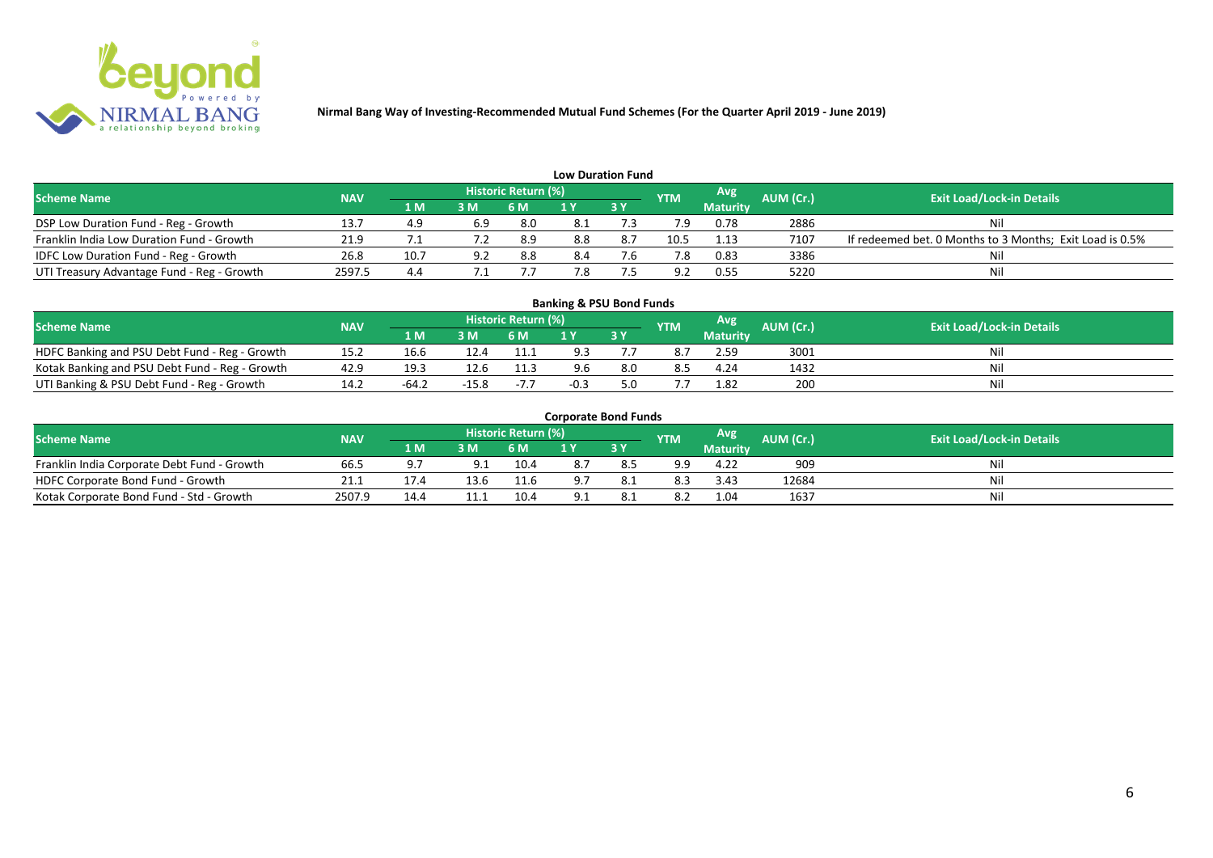

| <b>Low Duration Fund</b>                   |            |      |           |                     |     |      |                |                 |           |                                                          |  |  |  |
|--------------------------------------------|------------|------|-----------|---------------------|-----|------|----------------|-----------------|-----------|----------------------------------------------------------|--|--|--|
| <b>Scheme Name</b>                         | <b>NAV</b> |      |           | Historic Return (%) |     |      | <b>YTM</b>     | <b>Avg</b>      | AUM (Cr.) | <b>Exit Load/Lock-in Details</b>                         |  |  |  |
|                                            |            | 1 M  | <b>3M</b> | 6 M                 |     | 73 Y |                | <b>Maturity</b> |           |                                                          |  |  |  |
| DSP Low Duration Fund - Reg - Growth       | 13.7       | 4.9  | 6.9       | 8.0                 |     |      |                | 0.78            | 2886      | Nil                                                      |  |  |  |
| Franklin India Low Duration Fund - Growth  | 21.9       |      |           | 8.9                 | 8.8 | 8.7  | 10.5           | 1.13            | 7107      | If redeemed bet. 0 Months to 3 Months; Exit Load is 0.5% |  |  |  |
| IDFC Low Duration Fund - Reg - Growth      | 26.8       | 10.7 |           | 8.8                 | 8.4 |      |                | 0.83            | 3386      | Nil                                                      |  |  |  |
| UTI Treasury Advantage Fund - Reg - Growth | 2597.5     | 4.4  |           |                     | 7.8 |      | Q <sub>1</sub> | 0.55            | 5220      | Nil                                                      |  |  |  |

#### 1 M 3 M 6 M 1 Y 3 Y 16.6 12.4 11.1 9.3 7. NOFC Banking and PSU Debt Fund - Reg - Growth 15.2 16.6 12.4 11.1 9.3 7.7 8.7 2.59 3001 Nil<br>
Kotak Banking and PSU Debt Fund - Reg - Growth 42.9 19.3 12.6 11.3 9.6 8.0 8.5 4.24 1432 Nil Kotak Banking and PSU Debt Fund - Reg - Growth 42.9 19.3 12.6 11.3 9.6 8.0 8.5 4.24 1432<br>
UTI Banking & PSU Debt Fund - Reg - Growth 14.2 - 64.2 - 15.8 - 7.7 - 0.3 5.0 7.7 1.82 200 UTI Banking & PSU Debt Fund - Reg - Growth 14.2 -64.2 -15.8 -7.7 -0.3 5.0 7.7 1.82 200 Nil **Banking & PSU Bond Funds Scheme Name NAV AUM AUM AUM AUM AUM AUM AUM AUM AUM Exit Load/Lock-in Details**<br>**AUM AUM AUM AUM AUM AUM AUM AUM Exit Load/Lock-in Details Historic Return (%) Maturity**

| <b>Corporate Bond Funds</b> |  |  |
|-----------------------------|--|--|
|-----------------------------|--|--|

| <b>Scheme Name</b>                          | <b>NAV</b> |       |      | <b>Historic Return (%)</b> |     | <b>YTM</b> | <b>Avg</b>      | <b>AUM</b> (Cr.) | <b>Exit Load/Lock-in Details</b> |
|---------------------------------------------|------------|-------|------|----------------------------|-----|------------|-----------------|------------------|----------------------------------|
|                                             |            | 1 M . | 3 M  |                            | 3 Y |            | <b>Maturity</b> |                  |                                  |
| Franklin India Corporate Debt Fund - Growth | 66.5       |       | Q 1  | 10.4                       |     | 9.9        | 4.22            | 909              | Ni                               |
| HDFC Corporate Bond Fund - Growth           | 21.1       |       | 13.P | 11.6                       |     | 8.3        | 3.43            | 12684            | Nil                              |
| Kotak Corporate Bond Fund - Std - Growth    | 2507.9     |       |      | 10.4                       |     | 8.2        | 1.04            | 1637             | Nil                              |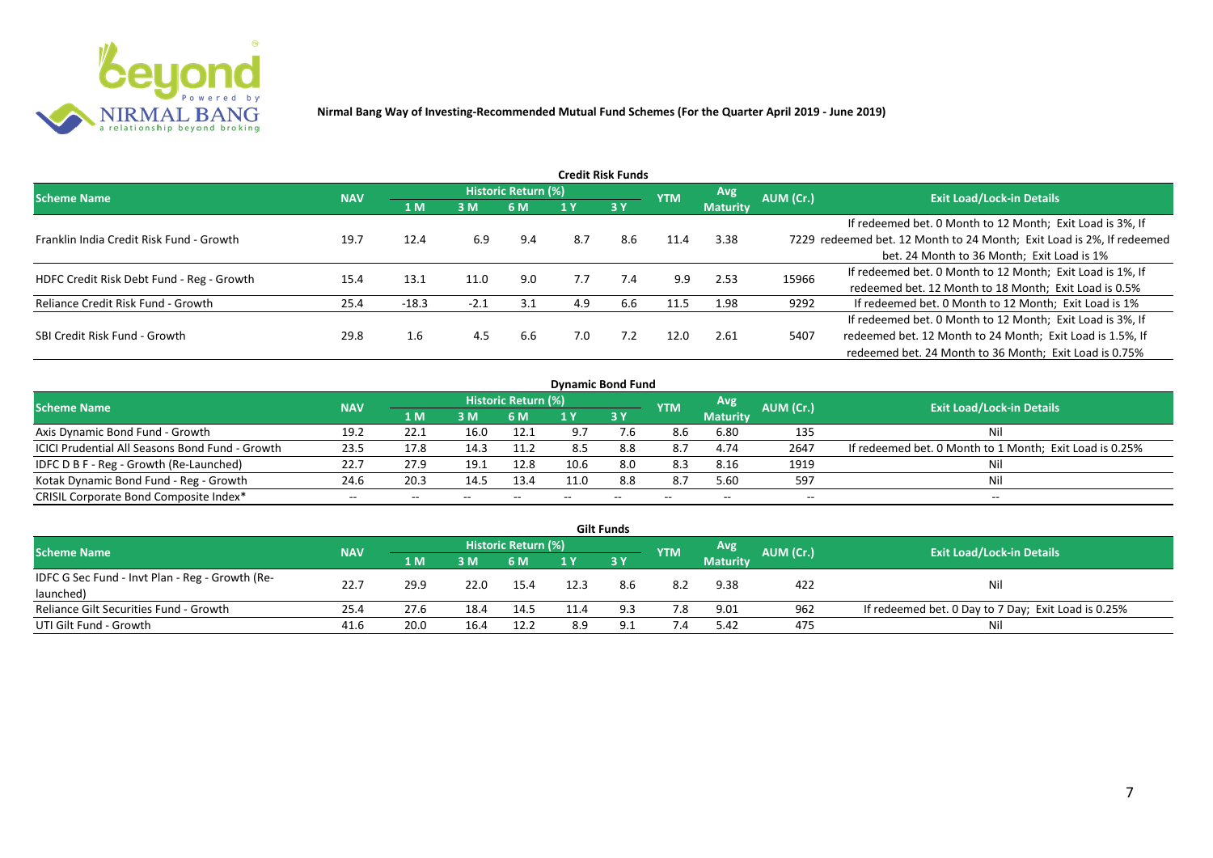

| Credit Risk Funds                         |            |         |        |                     |     |           |            |                               |           |                                                                       |  |  |
|-------------------------------------------|------------|---------|--------|---------------------|-----|-----------|------------|-------------------------------|-----------|-----------------------------------------------------------------------|--|--|
| <b>Scheme Name</b>                        | <b>NAV</b> |         |        | Historic Return (%) |     |           | <b>YTM</b> | <b>Avg</b><br><b>Maturity</b> | AUM (Cr.) | <b>Exit Load/Lock-in Details</b>                                      |  |  |
|                                           |            | 1 M     | 3M     | 6 M                 |     | <b>3Y</b> |            |                               |           |                                                                       |  |  |
|                                           |            |         |        |                     |     |           |            |                               |           | If redeemed bet. 0 Month to 12 Month; Exit Load is 3%, If             |  |  |
| Franklin India Credit Risk Fund - Growth  | 19.7       | 12.4    | 6.9    | 9.4                 | 8.7 | 8.6       | 11.4       | 3.38                          |           | 7229 redeemed bet. 12 Month to 24 Month; Exit Load is 2%, If redeemed |  |  |
|                                           |            |         |        |                     |     |           |            |                               |           | bet. 24 Month to 36 Month; Exit Load is 1%                            |  |  |
| HDFC Credit Risk Debt Fund - Reg - Growth | 15.4       | 13.1    | 11.0   | 9.0                 | 7.7 | 7.4       | 9.9        | 2.53                          | 15966     | If redeemed bet. 0 Month to 12 Month; Exit Load is 1%, If             |  |  |
|                                           |            |         |        |                     |     |           |            |                               |           | redeemed bet. 12 Month to 18 Month; Exit Load is 0.5%                 |  |  |
| Reliance Credit Risk Fund - Growth        | 25.4       | $-18.3$ | $-2.1$ | 3.1                 | 4.9 | 6.6       | 11.5       | 1.98                          | 9292      | If redeemed bet. 0 Month to 12 Month; Exit Load is 1%                 |  |  |
|                                           |            |         |        |                     |     |           |            |                               |           | If redeemed bet. 0 Month to 12 Month; Exit Load is 3%, If             |  |  |
| SBI Credit Risk Fund - Growth             | 29.8       | 1.6     | 4.5    | 6.6                 | 7.0 | 7.2       | 12.0       | 2.61                          | 5407      | redeemed bet. 12 Month to 24 Month; Exit Load is 1.5%, If             |  |  |
|                                           |            |         |        |                     |     |           |            |                               |           | redeemed bet. 24 Month to 36 Month; Exit Load is 0.75%                |  |  |

| <b>Dynamic Bond Fund</b>                        |            |      |       |                            |      |       |            |                 |           |                                                         |  |  |  |
|-------------------------------------------------|------------|------|-------|----------------------------|------|-------|------------|-----------------|-----------|---------------------------------------------------------|--|--|--|
| <b>Scheme Name</b>                              | <b>NAV</b> |      |       | <b>Historic Return (%)</b> |      |       | <b>YTM</b> | Avg             | AUM (Cr.) | <b>Exit Load/Lock-in Details</b>                        |  |  |  |
|                                                 |            | 1 M  | 3M    | 6 M                        |      | 3Y    |            | <b>Maturity</b> |           |                                                         |  |  |  |
| Axis Dynamic Bond Fund - Growth                 | 19.2       | 22.1 | 16.0  | 12.1                       | 9.7  |       | 8.6        | 6.80            | 135       | Nil                                                     |  |  |  |
| ICICI Prudential All Seasons Bond Fund - Growth | 23.5       | 17.8 | 14.3  | 11.2                       | 8.5  | 8.8   | 8.7        | 4.74            | 2647      | If redeemed bet. 0 Month to 1 Month; Exit Load is 0.25% |  |  |  |
| IDFC D B F - Reg - Growth (Re-Launched)         | 22.7       | 27.9 | 19.1  | 12.8                       | 10.6 | 8.0   | 8.3        | 8.16            | 1919      | Nil                                                     |  |  |  |
| Kotak Dynamic Bond Fund - Reg - Growth          | 24.6       | 20.3 | 14.5  | 13.4                       | 11.0 | 8.8   | -8.7       | 5.60            | 597       | Nil                                                     |  |  |  |
| CRISIL Corporate Bond Composite Index*          | $- -$      | --   | $- -$ |                            |      | $- -$ | $- -$      | --              | --        | $- -$                                                   |  |  |  |

| <b>Gilt Funds</b>                               |            |      |      |                     |     |      |            |                 |           |                                                     |  |  |  |
|-------------------------------------------------|------------|------|------|---------------------|-----|------|------------|-----------------|-----------|-----------------------------------------------------|--|--|--|
| <b>Scheme Name</b>                              | <b>NAV</b> |      |      | Historic Return (%) |     |      | <b>YTM</b> | Avg             | AUM (Cr.) | <b>Exit Load/Lock-in Details</b>                    |  |  |  |
|                                                 |            | 1 M  | 3 M  | 6 M.                | 1 Y | 73 Y |            | <b>Maturity</b> |           |                                                     |  |  |  |
| IDFC G Sec Fund - Invt Plan - Reg - Growth (Re- | 22.7       | 29.9 | 22.0 | 15.4                |     | 8.6  | 8.2        | 9.38            | 422       | Nil                                                 |  |  |  |
| launched)                                       |            |      |      |                     |     |      |            |                 |           |                                                     |  |  |  |
| Reliance Gilt Securities Fund - Growth          | 25.4       | 27.6 | 18.4 | 14.5                |     | 9.3  | 7.8        | 9.01            | 962       | If redeemed bet. 0 Day to 7 Day; Exit Load is 0.25% |  |  |  |
| UTI Gilt Fund - Growth                          | 41.6       | 20.0 | 16.4 | 12.2                | 8.9 | Q 1  | 7.4        | 5.42            | 475       | Nil                                                 |  |  |  |